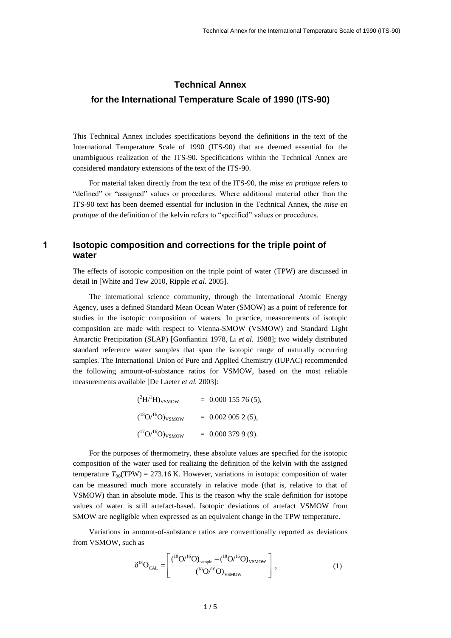# **Technical Annex for the International Temperature Scale of 1990 (ITS-90)**

This Technical Annex includes specifications beyond the definitions in the text of the International Temperature Scale of 1990 (ITS-90) that are deemed essential for the unambiguous realization of the ITS-90. Specifications within the Technical Annex are considered mandatory extensions of the text of the ITS-90.

For material taken directly from the text of the ITS-90, the *mise en pratique* refers to "defined" or "assigned" values or procedures. Where additional material other than the ITS-90 text has been deemed essential for inclusion in the Technical Annex, the *mise en pratique* of the definition of the kelvin refers to "specified" values or procedures.

# **1 Isotopic composition and corrections for the triple point of water**

The effects of isotopic composition on the triple point of water (TPW) are discussed in detail in [White and Tew 2010, Ripple *et al.* 2005].

The international science community, through the International Atomic Energy Agency, uses a defined Standard Mean Ocean Water (SMOW) as a point of reference for studies in the isotopic composition of waters. In practice, measurements of isotopic composition are made with respect to Vienna-SMOW (VSMOW) and Standard Light Antarctic Precipitation (SLAP) [Gonfiantini 1978, Li *et al.* 1988]; two widely distributed standard reference water samples that span the isotopic range of naturally occurring samples. The International Union of Pure and Applied Chemistry (IUPAC) recommended the following amount-of-substance ratios for VSMOW, based on the most reliable measurements available [De Laeter *et al.* 2003]:

$$
(^{2}H^{1}H)_{\text{VSMOW}} = 0.000 155 76 (5),
$$
  
\n
$$
(^{18}O^{16}O)_{\text{VSMOW}} = 0.002 005 2 (5),
$$
  
\n
$$
(^{17}O^{16}O)_{\text{VSMOW}} = 0.000 379 9 (9).
$$

For the purposes of thermometry, these absolute values are specified for the isotopic composition of the water used for realizing the definition of the kelvin with the assigned temperature  $T_{90}(\text{TPW}) = 273.16 \text{ K}$ . However, variations in isotopic composition of water can be measured much more accurately in relative mode (that is, relative to that of VSMOW) than in absolute mode. This is the reason why the scale definition for isotope values of water is still artefact-based. Isotopic deviations of artefact VSMOW from SMOW are negligible when expressed as an equivalent change in the TPW temperature.

Variations in amount-of-substance ratios are conventionally reported as deviations from VSMOW, such as

$$
\delta^{18}O_{CAL} = \left[ \frac{\binom{18}{16}O^{16}O_{sample} - \binom{18}{16}O^{16}O_{VSMOW}}{\binom{18}{16}O^{16}O_{VSMOW}} \right],
$$
(1)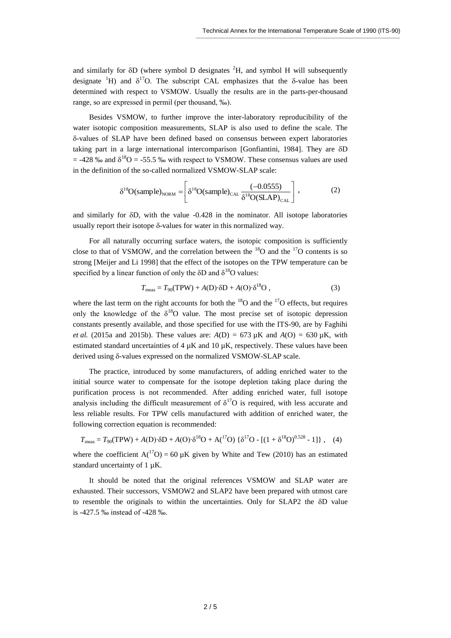and similarly for  $\delta D$  (where symbol D designates  ${}^{2}H$ , and symbol H will subsequently designate <sup>1</sup>H) and  $\delta^{17}O$ . The subscript CAL emphasizes that the  $\delta$ -value has been determined with respect to VSMOW. Usually the results are in the parts-per-thousand range, so are expressed in permil (per thousand, ‰).

Besides VSMOW, to further improve the inter-laboratory reproducibility of the water isotopic composition measurements, SLAP is also used to define the scale. The -values of SLAP have been defined based on consensus between expert laboratories taking part in a large international intercomparison [Gonfiantini, 1984]. They are  $\delta D$  $=$  -428 ‰ and  $\delta^{18}O = -55.5$  ‰ with respect to VSMOW. These consensus values are used in the definition of the so-called normalized VSMOW-SLAP scale:

$$
\delta^{18}O(\text{sample})_{\text{NORM}} = \left[\delta^{18}O(\text{sample})_{\text{CAL}} \frac{(-0.0555)}{\delta^{18}O(\text{SLAP})_{\text{CAL}}}\right],\tag{2}
$$

and similarly for  $\delta D$ , with the value -0.428 in the nominator. All isotope laboratories usually report their isotope  $\delta$ -values for water in this normalized way.

For all naturally occurring surface waters, the isotopic composition is sufficiently close to that of VSMOW, and the correlation between the  $^{18}$ O and the  $^{17}$ O contents is so strong [Meijer and Li 1998] that the effect of the isotopes on the TPW temperature can be specified by a linear function of only the  $\delta$ D and  $\delta^{18}$ O values:

$$
T_{\text{meas}} = T_{90}(\text{TPW}) + A(\text{D}) \cdot \delta \text{D} + A(\text{O}) \cdot \delta^{18} \text{O} , \qquad (3)
$$

where the last term on the right accounts for both the  $^{18}$ O and the  $^{17}$ O effects, but requires only the knowledge of the  $\delta^{18}O$  value. The most precise set of isotopic depression constants presently available, and those specified for use with the ITS-90, are by Faghihi *et al.* (2015a and 2015b). These values are:  $A(D) = 673 \mu K$  and  $A(O) = 630 \mu K$ , with estimated standard uncertainties of  $4 \mu K$  and  $10 \mu K$ , respectively. These values have been derived using  $\delta$ -values expressed on the normalized VSMOW-SLAP scale.

The practice, introduced by some manufacturers, of adding enriched water to the initial source water to compensate for the isotope depletion taking place during the purification process is not recommended. After adding enriched water, full isotope analysis including the difficult measurement of  $\delta^{17}O$  is required, with less accurate and less reliable results. For TPW cells manufactured with addition of enriched water, the following correction equation is recommended:

$$
T_{\text{meas}} = T_{90}(\text{TPW}) + A(\text{D}) \cdot \delta \text{D} + A(\text{O}) \cdot \delta^{18} \text{O} + A(^{17}\text{O}) \left\{ \delta^{17} \text{O} - \left[ (1 + \delta^{18} \text{O})^{0.528} - 1 \right] \right\}, \quad (4)
$$

where the coefficient  $A({}^{17}O) = 60 \mu K$  given by White and Tew (2010) has an estimated standard uncertainty of 1  $\mu$ K.

It should be noted that the original references VSMOW and SLAP water are exhausted. Their successors, VSMOW2 and SLAP2 have been prepared with utmost care to resemble the originals to within the uncertainties. Only for SLAP2 the  $\delta D$  value is -427.5 ‰ instead of -428 ‰.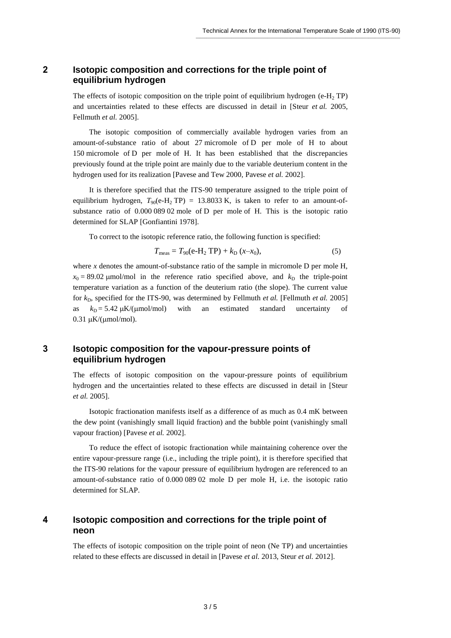# **2 Isotopic composition and corrections for the triple point of equilibrium hydrogen**

The effects of isotopic composition on the triple point of equilibrium hydrogen (e-H<sub>2</sub> TP) and uncertainties related to these effects are discussed in detail in [Steur *et al.* 2005, Fellmuth *et al.* 2005].

The isotopic composition of commercially available hydrogen varies from an amount-of-substance ratio of about 27 micromole of D per mole of H to about 150 micromole of D per mole of H. It has been established that the discrepancies previously found at the triple point are mainly due to the variable deuterium content in the hydrogen used for its realization [Pavese and Tew 2000, Pavese *et al.* 2002].

It is therefore specified that the ITS-90 temperature assigned to the triple point of equilibrium hydrogen,  $T_{90}(e\text{-}H_2 \text{TP}) = 13.8033 \text{ K}$ , is taken to refer to an amount-ofsubstance ratio of 0.000 089 02 mole of D per mole of H. This is the isotopic ratio determined for SLAP [Gonfiantini 1978].

To correct to the isotopic reference ratio, the following function is specified:

$$
T_{\text{meas}} = T_{90} (e\text{-}H_2 \text{ TP}) + k_D (x - x_0), \tag{5}
$$

where *x* denotes the amount-of-substance ratio of the sample in micromole D per mole H,  $x_0 = 89.02$  µmol/mol in the reference ratio specified above, and  $k_D$  the triple-point temperature variation as a function of the deuterium ratio (the slope). The current value for  $k_D$ , specified for the ITS-90, was determined by Fellmuth *et al.* [Fellmuth *et al.* 2005] as  $k_D = 5.42 \mu K/(µmol/mol)$  with an estimated standard uncertainty of  $0.31 \mu K/( \mu m o l / m o l).$ 

### **3 Isotopic composition for the vapour-pressure points of equilibrium hydrogen**

The effects of isotopic composition on the vapour-pressure points of equilibrium hydrogen and the uncertainties related to these effects are discussed in detail in [Steur *et al.* 2005].

Isotopic fractionation manifests itself as a difference of as much as 0.4 mK between the dew point (vanishingly small liquid fraction) and the bubble point (vanishingly small vapour fraction) [Pavese *et al.* 2002].

To reduce the effect of isotopic fractionation while maintaining coherence over the entire vapour-pressure range (i.e., including the triple point), it is therefore specified that the ITS-90 relations for the vapour pressure of equilibrium hydrogen are referenced to an amount-of-substance ratio of 0.000 089 02 mole D per mole H, i.e. the isotopic ratio determined for SLAP.

# **4 Isotopic composition and corrections for the triple point of neon**

The effects of isotopic composition on the triple point of neon (Ne TP) and uncertainties related to these effects are discussed in detail in [Pavese *et al.* 2013, Steur *et al.* 2012].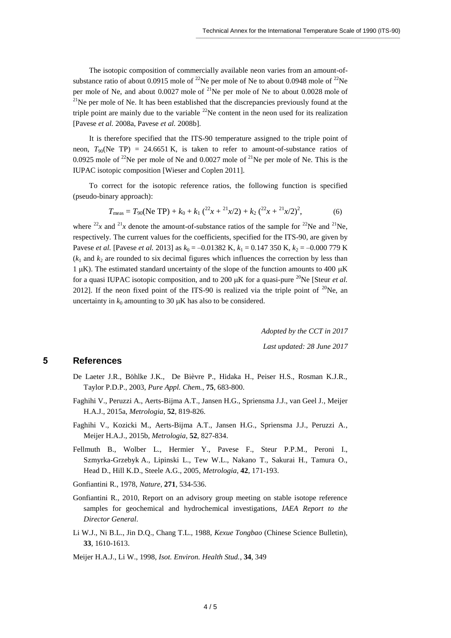The isotopic composition of commercially available neon varies from an amount-ofsubstance ratio of about 0.0915 mole of <sup>22</sup>Ne per mole of Ne to about 0.0948 mole of <sup>22</sup>Ne per mole of Ne, and about  $0.0027$  mole of <sup>21</sup>Ne per mole of Ne to about  $0.0028$  mole of  $^{21}$ Ne per mole of Ne. It has been established that the discrepancies previously found at the triple point are mainly due to the variable  $^{22}$ Ne content in the neon used for its realization [Pavese *et al.* 2008a, Pavese *et al.* 2008b].

It is therefore specified that the ITS-90 temperature assigned to the triple point of neon,  $T_{90}$ (Ne TP) = 24.6651 K, is taken to refer to amount-of-substance ratios of 0.0925 mole of <sup>22</sup>Ne per mole of Ne and 0.0027 mole of <sup>21</sup>Ne per mole of Ne. This is the IUPAC isotopic composition [Wieser and Coplen 2011].

To correct for the isotopic reference ratios, the following function is specified (pseudo-binary approach):

$$
T_{\text{meas}} = T_{90}(\text{Ne TP}) + k_0 + k_1 \left( \frac{2x}{2} + \frac{21}{x/2} \right) + k_2 \left( \frac{22}{x} + \frac{21}{x/2} \right)^2, \tag{6}
$$

where  $^{22}x$  and  $^{21}x$  denote the amount-of-substance ratios of the sample for  $^{22}$ Ne and  $^{21}$ Ne, respectively. The current values for the coefficients, specified for the ITS-90, are given by Pavese *et al.* [Pavese *et al.* 2013] as  $k_0 = -0.01382 \text{ K}$ ,  $k_1 = 0.147350 \text{ K}$ ,  $k_2 = -0.000779 \text{ K}$  $(k_1$  and  $k_2$  are rounded to six decimal figures which influences the correction by less than 1  $\mu$ K). The estimated standard uncertainty of the slope of the function amounts to 400  $\mu$ K for a quasi IUPAC isotopic composition, and to 200  $\mu$ K for a quasi-pure <sup>20</sup>Ne [Steur *et al.*] 2012]. If the neon fixed point of the ITS-90 is realized via the triple point of  $20\text{Ne}$ , an uncertainty in  $k_0$  amounting to 30  $\mu$ K has also to be considered.

> *Adopted by the CCT in 2017 Last updated: 28 June 2017*

#### **5 References**

- De Laeter J.R., Böhlke J.K., De Bièvre P., Hidaka H., Peiser H.S., Rosman K.J.R., Taylor P.D.P., 2003, *Pure Appl. Chem.*, **75**, 683-800.
- Faghihi V., Peruzzi A., Aerts-Bijma A.T., Jansen H.G., Spriensma J.J., van Geel J., Meijer H.A.J., 2015a, *Metrologia*, **52**, 819-826.
- Faghihi V., Kozicki M., Aerts-Bijma A.T., Jansen H.G., Spriensma J.J., Peruzzi A., Meijer H.A.J., 2015b, *Metrologia*, **52**, 827-834.
- Fellmuth B., Wolber L., Hermier Y., Pavese F., Steur P.P.M., Peroni I., Szmyrka-Grzebyk A., Lipinski L., Tew W.L., Nakano T., Sakurai H., Tamura O., Head D., Hill K.D., Steele A.G., 2005, *Metrologia*, **42**, 171-193.
- Gonfiantini R., 1978, *Nature*, **271**, 534-536.
- Gonfiantini R., 2010, Report on an advisory group meeting on stable isotope reference samples for geochemical and hydrochemical investigations, *IAEA Report to the Director General*.
- Li W.J., Ni B.L., Jin D.Q., Chang T.L., 1988, *Kexue Tongbao* (Chinese Science Bulletin), **33**, 1610-1613.

Meijer H.A.J., Li W., 1998, *Isot. Environ. Health Stud.*, **34**, 349